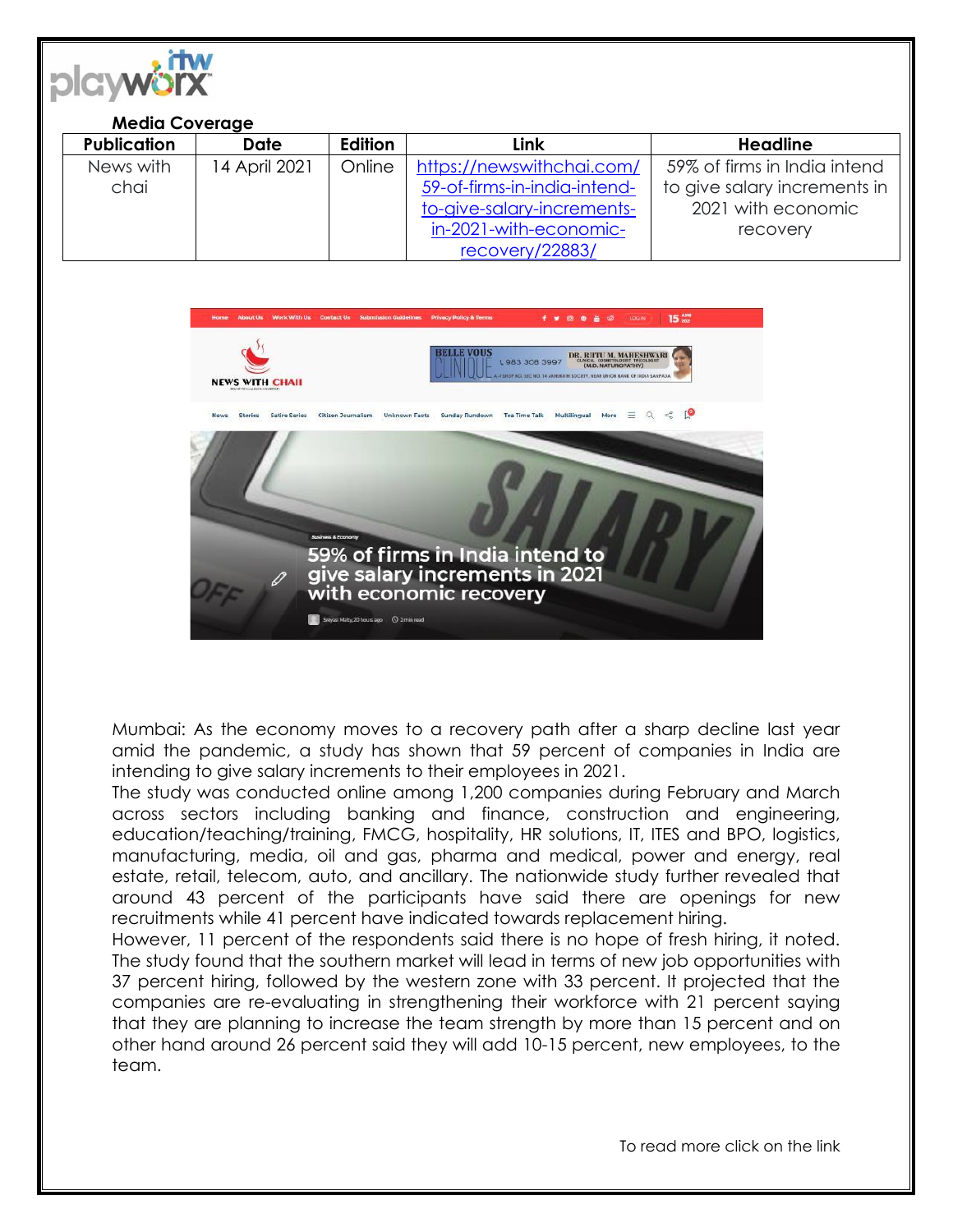

## **Media Coverage**

| <b>Publication</b> | <b>Date</b>   | <b>Edition</b> | Link                         | <b>Headline</b>              |
|--------------------|---------------|----------------|------------------------------|------------------------------|
| News with          | 14 April 2021 | Online         | https://newswithchai.com/    | 59% of firms in India intend |
| chai               |               |                | 59-of-firms-in-india-intend- | to give salary increments in |
|                    |               |                | to-give-salary-increments-   | 2021 with economic           |
|                    |               |                | in-2021-with-economic-       | recovery                     |
|                    |               |                | recovery/22883/              |                              |



Mumbai: As the economy moves to a recovery path after a sharp decline last year amid the pandemic, a study has shown that 59 percent of companies in India are intending to give salary increments to their employees in 2021.

The study was conducted online among 1,200 companies during February and March across sectors including banking and finance, construction and engineering, education/teaching/training, FMCG, hospitality, HR solutions, IT, ITES and BPO, logistics, manufacturing, media, oil and gas, pharma and medical, power and energy, real estate, retail, telecom, auto, and ancillary. The nationwide study further revealed that around 43 percent of the participants have said there are openings for new recruitments while 41 percent have indicated towards replacement hiring.

However, 11 percent of the respondents said there is no hope of fresh hiring, it noted. The study found that the southern market will lead in terms of new job opportunities with 37 percent hiring, followed by the western zone with 33 percent. It projected that the companies are re-evaluating in strengthening their workforce with 21 percent saying that they are planning to increase the team strength by more than 15 percent and on other hand around 26 percent said they will add 10-15 percent, new employees, to the team.

To read more click on the link